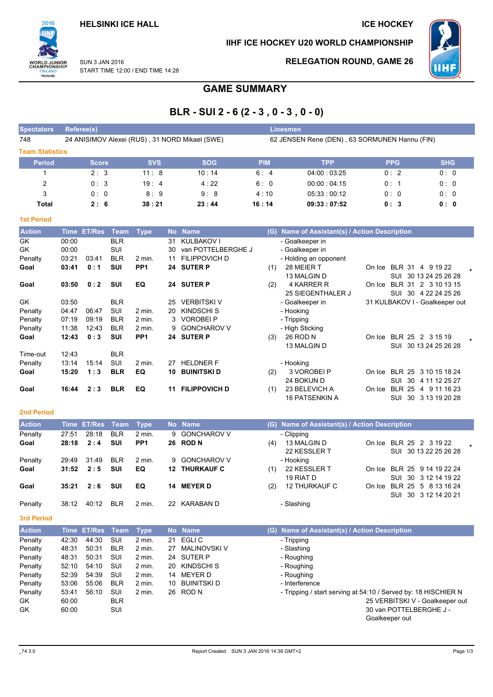

IIHF ICE HOCKEY U20 WORLD CHAMPIONSHIP



**SUN 3 JAN 2016** START TIME 12:00 / END TIME 14:28

# **RELEGATION ROUND, GAME 26**

# **GAME SUMMARY**

# BLR - SUI 2 - 6 (2 - 3, 0 - 3, 0 - 0)

| <b>Spectators</b>      | Referee(s)                                     |            |            | <b>Linesmen</b>                               |             |            |            |  |  |  |  |
|------------------------|------------------------------------------------|------------|------------|-----------------------------------------------|-------------|------------|------------|--|--|--|--|
| 748                    | 24 ANISIMOV Alexei (RUS), 31 NORD Mikael (SWE) |            |            | 62 JENSEN Rene (DEN), 63 SORMUNEN Hannu (FIN) |             |            |            |  |  |  |  |
| <b>Team Statistics</b> |                                                |            |            |                                               |             |            |            |  |  |  |  |
| <b>Period</b>          | <b>Score</b>                                   | <b>SVS</b> | <b>SOG</b> | <b>PIM</b>                                    | <b>TPP</b>  | <b>PPG</b> | <b>SHG</b> |  |  |  |  |
|                        | 2:3                                            | 11:8       | 10:14      | 6:4                                           | 04:00:03:25 | 0:2        | 0:0        |  |  |  |  |
| 2                      | 0:3                                            | 19:4       | 4:22       | 6:0                                           | 00:00:04:15 | 0:1        | 0:0        |  |  |  |  |
| 3                      | 0:0                                            | 8:9        | 9:8        | 4:10                                          | 05:33:00:12 | 0:0        | 0:0        |  |  |  |  |
| Total                  | 2:6                                            | 38:21      | 23:44      | 16:14                                         | 09:33:07:52 | 0:3        | 0: 0       |  |  |  |  |

| <b>1st Period</b> |       |               |            |                   |    |                      |     |                                           |        |                  |                                |
|-------------------|-------|---------------|------------|-------------------|----|----------------------|-----|-------------------------------------------|--------|------------------|--------------------------------|
| <b>Action</b>     | Time  | <b>ET/Res</b> | Team       | <b>Type</b>       |    | No Name              | (G) | Name of Assistant(s) / Action Description |        |                  |                                |
| GK                | 00:00 |               | <b>BLR</b> |                   | 31 | KULBAKOV I           |     | - Goalkeeper in                           |        |                  |                                |
| GK                | 00:00 |               | SUI        |                   | 30 | van POTTELBERGHE J   |     | - Goalkeeper in                           |        |                  |                                |
| Penalty           | 03:21 | 03:41         | <b>BLR</b> | 2 min.            | 11 | <b>FILIPPOVICH D</b> |     | - Holding an opponent                     |        |                  |                                |
| Goal              | 03:41 | 0:1           | SUI        | PP <sub>1</sub>   | 24 | <b>SUTER P</b>       | (1) | 28 MEIER T                                | On Ice | <b>BLR 31</b>    | 4 9 19 22                      |
|                   |       |               |            |                   |    |                      |     | 13 MALGIN D                               |        | SUI              | 30 13 24 25 26 28              |
| Goal              | 03:50 | 0:2           | <b>SUI</b> | EQ                |    | 24 SUTER P           | (2) | 4 KARRER R                                | On Ice |                  | BLR 31 2 3 10 13 15            |
|                   |       |               |            |                   |    |                      |     | 25 SIEGENTHALER J                         |        |                  | SUI 30 4 22 24 25 26           |
| GK                | 03:50 |               | <b>BLR</b> |                   | 25 | <b>VERBITSKI V</b>   |     | - Goalkeeper in                           |        |                  | 31 KULBAKOV I - Goalkeeper out |
| Penalty           | 04:47 | 06:47         | <b>SUI</b> | 2 min.            | 20 | <b>KINDSCHI S</b>    |     | - Hooking                                 |        |                  |                                |
| Penalty           | 07:19 | 09:19         | <b>BLR</b> | $2$ min.          |    | 3 VOROBEI P          |     | - Tripping                                |        |                  |                                |
| Penalty           | 11:38 | 12:43         | <b>BLR</b> | $2 \text{ min}$ . | 9  | <b>GONCHAROV V</b>   |     | - High Sticking                           |        |                  |                                |
| Goal              | 12:43 | 0:3           | <b>SUI</b> | PP <sub>1</sub>   | 24 | <b>SUTER P</b>       | (3) | 26 ROD N                                  | On Ice | BLR 25 2 3 15 19 |                                |
|                   |       |               |            |                   |    |                      |     | 13 MALGIN D                               |        | SUI              | 30 13 24 25 26 28              |
| Time-out          | 12:43 |               | <b>BLR</b> |                   |    |                      |     |                                           |        |                  |                                |
| Penalty           | 13:14 | 15:14         | SUI        | 2 min.            | 27 | <b>HELDNER F</b>     |     | - Hooking                                 |        |                  |                                |
| Goal              | 15:20 | 1:3           | <b>BLR</b> | EQ                | 10 | <b>BUINITSKID</b>    | (2) | 3 VOROBEI P                               | On Ice |                  | BLR 25 3 10 15 18 24           |
|                   |       |               |            |                   |    |                      |     | 24 BOKUN D                                |        | SUI<br>30        | 4 11 12 25 27                  |
| Goal              | 16:44 | 2:3           | <b>BLR</b> | EQ                | 11 | <b>FILIPPOVICH D</b> | (1) | 23 BELEVICH A                             | On Ice | <b>BLR 25</b>    | 4 9 11 16 23                   |
|                   |       |               |            |                   |    |                      |     | <b>16 PATSENKIN A</b>                     |        | SUI              | 30 3 13 19 20 28               |

## **2nd Period**

| <b>Action</b> |       | Time ET/Res Team Type |            |                 |     | No Name              |     | (G) Name of Assistant(s) / Action Description |        |                             |  |
|---------------|-------|-----------------------|------------|-----------------|-----|----------------------|-----|-----------------------------------------------|--------|-----------------------------|--|
| Penalty       | 27:51 | 28:18                 | <b>BLR</b> | 2 min.          |     | 9 GONCHAROV V        |     | - Clipping                                    |        |                             |  |
| Goal          | 28:18 | 2:4                   | <b>SUI</b> | PP <sub>1</sub> |     | 26 ROD N             | (4) | 13 MALGIN D                                   |        | On Ice BLR 25 2 3 19 22     |  |
|               |       |                       |            |                 |     |                      |     | 22 KESSLER T                                  |        | SUI 30 13 22 25 26 28       |  |
| Penalty       | 29.49 | 31:49                 | <b>BLR</b> | 2 min.          |     | 9 GONCHAROV V        |     | - Hooking                                     |        |                             |  |
| Goal          | 31:52 | 2:5                   | <b>SUI</b> | EQ              |     | <b>12 THURKAUF C</b> | (1) | 22 KESSLER T                                  |        | On Ice BLR 25 9 14 19 22 24 |  |
|               |       |                       |            |                 |     |                      |     | 19 RIAT D                                     |        | SUI 30 3 12 14 19 22        |  |
| Goal          | 35:21 | 2:6                   | SUI        | EQ              | 14  | <b>MEYER D</b>       | (2) | <b>12 THURKAUF C</b>                          | On Ice | BLR 25 5 8 13 16 24         |  |
|               |       |                       |            |                 |     |                      |     |                                               |        | SUI 30 3 12 14 20 21        |  |
| Penalty       | 38:12 | 40:12                 | <b>BLR</b> | 2 min.          | 22. | KARABAN D            |     | - Slashing                                    |        |                             |  |

3rd Period

| <b>Action</b> |       | Time ET/Res Team |            | Type              | No.       | <b>Name</b>  | (G) Name of Assistant(s) / Action Description                  |
|---------------|-------|------------------|------------|-------------------|-----------|--------------|----------------------------------------------------------------|
| Penalty       | 42:30 | 44:30            | SUI        | $2$ min.          | 21        | EGLI C       | - Tripping                                                     |
| Penalty       | 48:31 | 50:31            | <b>BLR</b> | $2$ min.          | 27        | MALINOVSKI V | - Slashing                                                     |
| Penalty       | 48:31 | 50:31            | SUI        | $2$ min.          |           | 24 SUTER P   | - Roughing                                                     |
| Penalty       | 52:10 | 54:10            | SUI        | $2 \text{ min}$ . | <b>20</b> | KINDSCHI S   | - Roughing                                                     |
| Penalty       | 52:39 | 54:39            | SUI        | $2$ min.          | 14        | MEYER D      | - Roughing                                                     |
| Penalty       | 53:06 | 55:06            | <b>BLR</b> | $2$ min.          | 10        | BUINITSKI D  | - Interference                                                 |
| Penalty       | 53:41 | 56:10            | SUI        | 2 min.            |           | 26 ROD N     | - Tripping / start serving at 54:10 / Served by: 18 HISCHIER N |
| GK.           | 60:00 |                  | <b>BLR</b> |                   |           |              | 25 VERBITSKI V - Goalkeeper out                                |
| GK            | 60:00 |                  | SUI        |                   |           |              | 30 van POTTELBERGHE J -                                        |
|               |       |                  |            |                   |           |              | Goalkeeper out                                                 |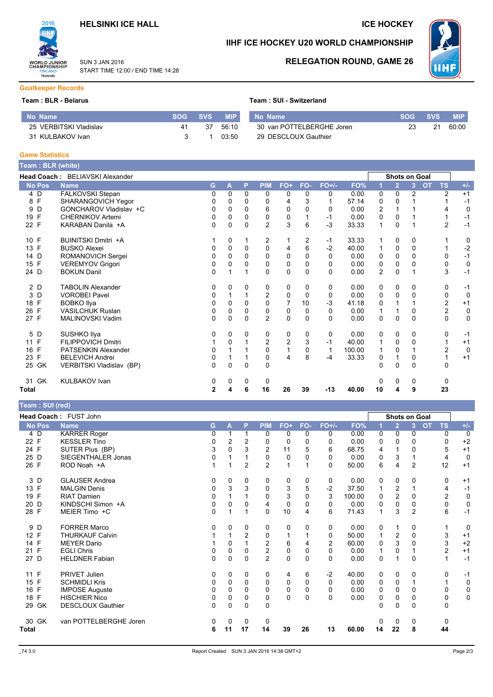# **HELSINKI ICE HALL**



### **SUN 3 JAN 2016** START TIME 12:00 / END TIME 14:28

**RELEGATION ROUND, GAME 26** 

IIHF ICE HOCKEY U20 WORLD CHAMPIONSHIP

### **Goalkeeper Records**

### Team: BLR - Belarus

|  |  |  |  |  | Team : SUI - Switzerland |
|--|--|--|--|--|--------------------------|
|--|--|--|--|--|--------------------------|

| No Name                | SOG. | SVS. | <b>MIP</b> | No Name                   | 'SOG : | <b>SVS</b> | <b>MIP</b> |
|------------------------|------|------|------------|---------------------------|--------|------------|------------|
| 25 VERBITSKI Vladislav | 41   | 37   | 56.10      | 30 van POTTELBERGHE Joren |        |            | 60:00      |
| 31 KULBAKOV Ivan       |      |      | 03:50      | 29 DESCLOUX Gauthier      |        |            |            |

### **Game Statistics**

| Team: BLR (white) |                                 |              |   |          |                |                |                |          |        |                |                      |          |           |                |             |
|-------------------|---------------------------------|--------------|---|----------|----------------|----------------|----------------|----------|--------|----------------|----------------------|----------|-----------|----------------|-------------|
|                   | Head Coach: BELIAVSKI Alexander |              |   |          |                |                |                |          |        |                | <b>Shots on Goal</b> |          |           |                |             |
| <b>No Pos</b>     | <b>Name</b>                     | G.           | A | P        | <b>PIM</b>     | FO+            | FO-            | $FO+/-$  | FO%    |                | $\overline{2}$       | 3        | <b>OT</b> | <b>TS</b>      | $+/-$       |
| 4 D               | FALKOVSKI Stepan                | 0            | 0 | 0        | $\Omega$       | 0              | 0              | 0        | 0.00   | 0              | $\Omega$             | 2        |           | $\overline{2}$ | $+1$        |
| F<br>8            | SHARANGOVICH Yegor              |              | 0 | $\Omega$ | 0              | 4              | 3              |          | 57.14  | 0              | 0                    |          |           |                | $-1$        |
| D<br>9            | GONCHAROV Vladislav +C          | 0            | 0 | $\Omega$ | 6              | $\Omega$       | 0              | 0        | 0.00   | $\overline{2}$ |                      |          |           | 4              | $\mathbf 0$ |
| 19 F              | <b>CHERNIKOV Artemi</b>         | 0            | 0 | $\Omega$ | 0              | 0              |                | $-1$     | 0.00   | 0              | 0                    |          |           |                | $-1$        |
| 22 F              | KARABAN Danila +A               | 0            | 0 | $\Omega$ | $\overline{2}$ | 3              | 6              | $-3$     | 33.33  | 1              | 0                    |          |           | $\overline{2}$ | $-1$        |
| 10 F              | <b>BUINITSKI Dmitri +A</b>      |              | 0 | 1        | 2              |                | $\overline{c}$ | $-1$     | 33.33  |                | 0                    | 0        |           |                | 0           |
| F<br>13           | <b>BUSKO Alexei</b>             | 0            | 0 | 0        | 0              | 4              | 6              | $-2$     | 40.00  |                | 0                    | 0        |           |                | $-2$        |
| 14 D              | ROMANOVICH Sergei               | 0            | 0 | $\Omega$ | $\Omega$       | $\Omega$       | 0              | 0        | 0.00   | 0              | 0                    | 0        |           | 0              | $-1$        |
| F<br>15           | <b>VEREMYOV Grigori</b>         | 0            | 0 | $\Omega$ | 0              | 0              | 0              | 0        | 0.00   | 0              | 0                    |          |           | 0              | 0           |
| 24 D              | <b>BOKUN Danil</b>              | 0            |   | 1        | $\Omega$       | 0              | $\Omega$       | $\Omega$ | 0.00   | $\overline{2}$ | 0                    |          |           | 3              | $-1$        |
| 2 D               | <b>TABOLIN Alexander</b>        | 0            | 0 | 0        | 0              | 0              | 0              | 0        | 0.00   | 0              | 0                    | 0        |           | 0              | $-1$        |
| D<br>3            | <b>VOROBEI Pavel</b>            | 0            |   |          | $\overline{2}$ | 0              | 0              | 0        | 0.00   | 0              | 0                    | 0        |           | $\mathbf 0$    | $\mathbf 0$ |
| F<br>18           | <b>BOBKO Ilya</b>               | 0            | 0 | $\Omega$ | $\Omega$       | 7              | 10             | $-3$     | 41.18  | 0              |                      |          |           | $\overline{2}$ | $+1$        |
| 26 F              | <b>VASILCHUK Ruslan</b>         | 0            | 0 | $\Omega$ | 0              | 0              | 0              | 0        | 0.00   |                | 1                    | 0        |           | $\overline{2}$ | $\mathbf 0$ |
| 27 F              | MALINOVSKI Vadim                | $\Omega$     | 0 | $\Omega$ | 2              | $\mathbf{0}$   | $\Omega$       | $\Omega$ | 0.00   | $\Omega$       | 0                    | $\Omega$ |           | $\Omega$       | $\mathbf 0$ |
| 5 D               | SUSHKO Ilya                     | 0            | 0 | $\Omega$ | 0              | 0              | 0              | 0        | 0.00   | 0              | 0                    | 0        |           | 0              | $-1$        |
| 11 F              | <b>FILIPPOVICH Dmitri</b>       |              | 0 |          | 2              | $\overline{2}$ | 3              | $-1$     | 40.00  |                | 0                    | 0        |           | 1              | $+1$        |
| F<br>16           | <b>PATSENKIN Alexander</b>      | 0            |   |          | $\Omega$       | 1              | $\Omega$       | 1        | 100.00 |                | 0                    |          |           | $\overline{2}$ | $\mathbf 0$ |
| F<br>23           | <b>BELEVICH Andrei</b>          | 0            |   |          | 0              | 4              | 8              | $-4$     | 33.33  | 0              | 1                    | 0        |           | 1              | $+1$        |
| 25 GK             | VERBITSKI Vladislav (BP)        | $\Omega$     | 0 | $\Omega$ | $\mathbf 0$    |                |                |          |        | $\Omega$       | 0                    | $\Omega$ |           | $\mathbf 0$    |             |
| 31 GK             | <b>KULBAKOV Ivan</b>            | 0            | 0 | 0        | 0              |                |                |          |        | 0              | 0                    | 0        |           | 0              |             |
| Total             |                                 | $\mathbf{2}$ | 4 | 6        | 16             | 26             | 39             | $-13$    | 40.00  | 10             | 4                    | 9        |           | 23             |             |

# Team · SUL (red)

| $1$ vann $. 001$ (100) |                          |   |          |                |                |             |          |          |        |    |                         |                |                        |             |
|------------------------|--------------------------|---|----------|----------------|----------------|-------------|----------|----------|--------|----|-------------------------|----------------|------------------------|-------------|
|                        | Head Coach: FUST John    |   |          |                |                |             |          |          |        |    |                         | Shots on Goal  |                        |             |
| <b>No Pos</b>          | <b>Name</b>              | G | A        | P              | <b>PIM</b>     | FO+         | FO-      | $FO+/-$  | FO%    |    | $\overline{2}$          | $\overline{3}$ | <b>TS</b><br><b>OT</b> | $+/-$       |
| 4 D                    | <b>KARRER Roger</b>      | 0 |          |                | 0              | 0           | 0        | 0        | 0.00   | 0  | 0                       | 0              | 0                      | $\mathbf 0$ |
| 22 F                   | <b>KESSLER Tino</b>      | 0 | 2        | $\overline{2}$ | 0              | 0           | $\Omega$ | 0        | 0.00   | 0  | 0                       | $\Omega$       | 0                      | $+2$        |
| 24 F                   | SUTER Pius (BP)          | 3 | 0        | 3              | $\overline{c}$ | 11          | 5        | 6        | 68.75  | 4  |                         | 0              | 5                      | $+1$        |
| 25 D                   | SIEGENTHALER Jonas       | 0 |          |                | $\mathbf 0$    | 0           | $\Omega$ | 0        | 0.00   | 0  | 3                       |                | 4                      | $\mathbf 0$ |
| 26 F                   | ROD Noah +A              |   |          | $\overline{2}$ | $\overline{2}$ | 1           |          | 0        | 50.00  | 6  | 4                       | $\overline{2}$ | 12                     | $+1$        |
| 3 D                    | <b>GLAUSER Andrea</b>    | 0 | 0        | 0              | 0              | 0           | 0        | 0        | 0.00   | 0  | 0                       | 0              | 0                      | $+1$        |
| F<br>13                | <b>MALGIN Denis</b>      | 0 | 3        | 3              | $\mathbf 0$    | 3           | 5        | $-2$     | 37.50  |    | $\overline{\mathbf{c}}$ |                | 4                      | $-1$        |
| F<br>19                | <b>RIAT Damien</b>       | 0 |          |                | $\Omega$       | 3           | $\Omega$ | 3        | 100.00 | 0  | $\overline{c}$          | $\Omega$       | $\overline{2}$         | 0           |
| D<br>20                | KINDSCHI Simon +A        | 0 | $\Omega$ | 0              | 4              | $\mathbf 0$ | $\Omega$ | 0        | 0.00   | 0  | 0                       | 0              | 0                      | $\mathbf 0$ |
| 28 F                   | MEIER Timo +C            | 0 |          |                | $\mathbf 0$    | 10          | 4        | 6        | 71.43  |    | 3                       | $\overline{c}$ | 6                      | $-1$        |
| 9<br>D                 | <b>FORRER Marco</b>      | 0 | 0        | 0              | 0              | 0           | 0        | 0        | 0.00   | 0  |                         | 0              | 1                      | 0           |
| E<br>12 <sup>2</sup>   | <b>THURKAUF Calvin</b>   |   |          | $\overline{2}$ | $\mathbf 0$    |             |          | 0        | 50.00  | 1  | $\overline{c}$          | $\Omega$       | 3                      | $+1$        |
| F<br>14                | <b>MEYER Dario</b>       |   | 0        |                | $\overline{2}$ | 6           | 4        | 2        | 60.00  | 0  | 3                       |                | 3                      | $+2$        |
| F<br>21                | <b>EGLI Chris</b>        | 0 | $\Omega$ | $\Omega$       | $\overline{c}$ | $\mathbf 0$ | $\Omega$ | $\Omega$ | 0.00   |    | 0                       |                | $\overline{2}$         | $+1$        |
| 27 D                   | <b>HELDNER Fabian</b>    | 0 | 0        | $\Omega$       | $\overline{2}$ | 0           | $\Omega$ | 0        | 0.00   | 0  |                         | $\Omega$       | 1                      | $-1$        |
| 11 F                   | <b>PRIVET Julien</b>     | 0 | $\Omega$ | $\Omega$       | 0              | 4           | 6        | $-2$     | 40.00  | 0  | 0                       | 0              | 0                      | $-1$        |
| F<br>15                | <b>SCHMIDLI Kris</b>     | 0 | 0        | $\Omega$       | $\mathbf 0$    | 0           | $\Omega$ | 0        | 0.00   | 0  | 0                       |                | 1                      | 0           |
| F<br>16                | <b>IMPOSE Auguste</b>    | 0 | 0        | $\Omega$       | 0              | 0           | $\Omega$ | 0        | 0.00   | 0  | 0                       | $\Omega$       | 0                      | $\pmb{0}$   |
| F<br>18                | <b>HISCHIER Nico</b>     | 0 | 0        | 0              | 0              | 0           | $\Omega$ | 0        | 0.00   | 0  | 0                       | 0              | 0                      | $\mathbf 0$ |
| GK<br>29               | <b>DESCLOUX Gauthier</b> | 0 | $\Omega$ | $\Omega$       | $\mathbf 0$    |             |          |          |        | 0  | 0                       | 0              | 0                      |             |
| 30 GK                  | van POTTELBERGHE Joren   | 0 | 0        | 0              | 0              |             |          |          |        | 0  | 0                       | 0              | 0                      |             |
| <b>Total</b>           |                          | 6 | 11       | 17             | 14             | 39          | 26       | 13       | 60.00  | 14 | 22                      | 8              | 44                     |             |

**WHF**